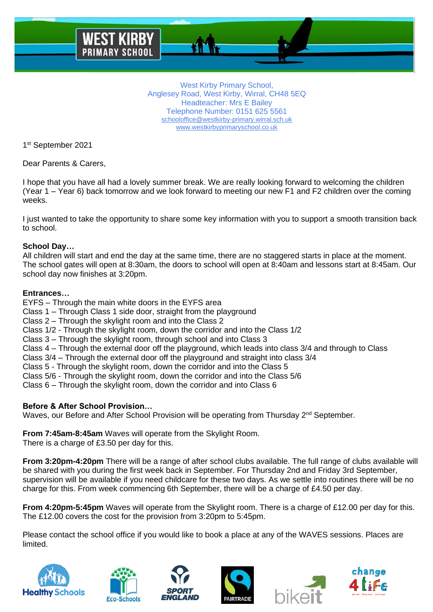West Kirby Primary School, Anglesey Road, West Kirby, Wirral, CH48 5EQ Headteacher: Mrs E Bailey Telephone Number: 0151 625 5561 [schooloffice@westkirby-primary.wirral.sch.uk](mailto:schooloffice@westkirby-primary.wirral.sch.uk) [www.westkirbyprimaryschool.co.uk](http://www.westkirbyprimaryschool.co.uk/)

1st September 2021

Dear Parents & Carers,

I hope that you have all had a lovely summer break. We are really looking forward to welcoming the children (Year 1 – Year 6) back tomorrow and we look forward to meeting our new F1 and F2 children over the coming weeks.

I just wanted to take the opportunity to share some key information with you to support a smooth transition back to school.

# **School Day…**

All children will start and end the day at the same time, there are no staggered starts in place at the moment. The school gates will open at 8:30am, the doors to school will open at 8:40am and lessons start at 8:45am. Our school day now finishes at 3:20pm.

### **Entrances…**

EYFS – Through the main white doors in the EYFS area

Class 1 – Through Class 1 side door, straight from the playground

Class 2 – Through the skylight room and into the Class 2

Class 1/2 - Through the skylight room, down the corridor and into the Class 1/2

Class 3 – Through the skylight room, through school and into Class 3

Class 4 – Through the external door off the playground, which leads into class 3/4 and through to Class

Class 3/4 – Through the external door off the playground and straight into class 3/4

Class 5 - Through the skylight room, down the corridor and into the Class 5

Class 6 – Through the skylight room, down the corridor and into Class 6

# **Before & After School Provision…**

Waves, our Before and After School Provision will be operating from Thursday 2<sup>nd</sup> September.

**From 7:45am-8:45am** Waves will operate from the Skylight Room. There is a charge of £3.50 per day for this.

**From 3:20pm-4:20pm** There will be a range of after school clubs available. The full range of clubs available will be shared with you during the first week back in September. For Thursday 2nd and Friday 3rd September, supervision will be available if you need childcare for these two days. As we settle into routines there will be no charge for this. From week commencing 6th September, there will be a charge of £4.50 per day.

**From 4:20pm-5:45pm** Waves will operate from the Skylight room. There is a charge of £12.00 per day for this. The £12.00 covers the cost for the provision from 3:20pm to 5:45pm.

Please contact the school office if you would like to book a place at any of the WAVES sessions. Places are limited.











Class 5/6 - Through the skylight room, down the corridor and into the Class 5/6